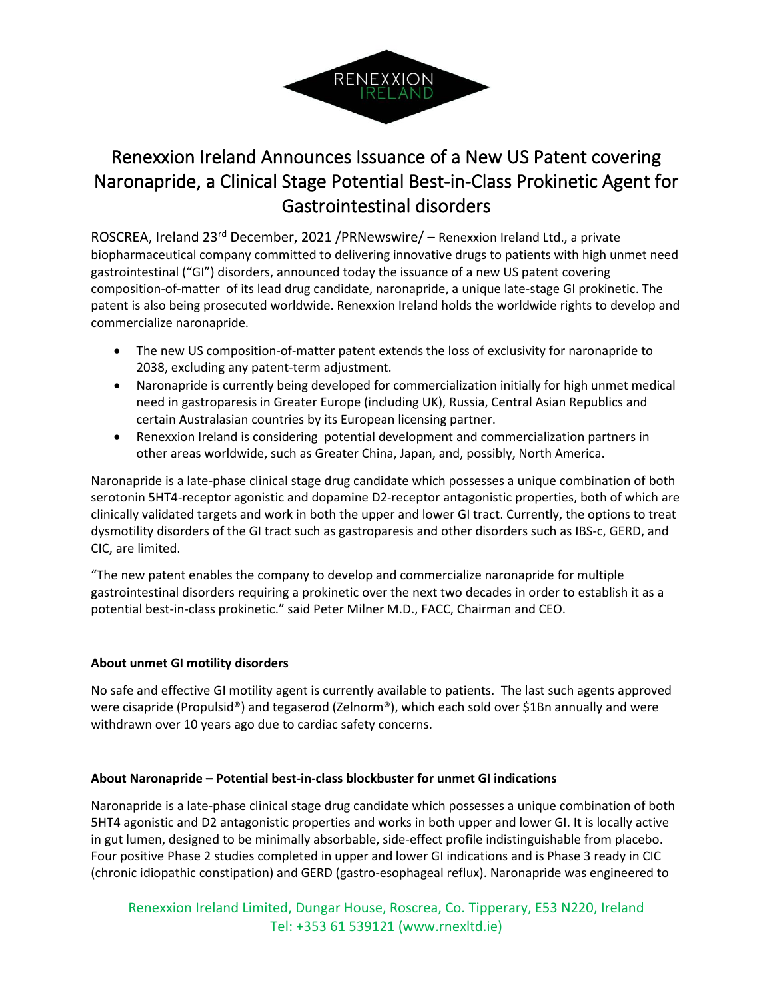

# Renexxion Ireland Announces Issuance of a New US Patent covering Naronapride, a Clinical Stage Potential Best-in-Class Prokinetic Agent for Gastrointestinal disorders

ROSCREA, Ireland 23<sup>rd</sup> December, 2021 / PRNewswire/ – Renexxion Ireland Ltd., a private biopharmaceutical company committed to delivering innovative drugs to patients with high unmet need gastrointestinal ("GI") disorders, announced today the issuance of a new US patent covering composition-of-matter of its lead drug candidate, naronapride, a unique late-stage GI prokinetic. The patent is also being prosecuted worldwide. Renexxion Ireland holds the worldwide rights to develop and commercialize naronapride.

- The new US composition-of-matter patent extends the loss of exclusivity for naronapride to 2038, excluding any patent-term adjustment.
- Naronapride is currently being developed for commercialization initially for high unmet medical need in gastroparesis in Greater Europe (including UK), Russia, Central Asian Republics and certain Australasian countries by its European licensing partner.
- Renexxion Ireland is considering potential development and commercialization partners in other areas worldwide, such as Greater China, Japan, and, possibly, North America.

Naronapride is a late-phase clinical stage drug candidate which possesses a unique combination of both serotonin 5HT4-receptor agonistic and dopamine D2-receptor antagonistic properties, both of which are clinically validated targets and work in both the upper and lower GI tract. Currently, the options to treat dysmotility disorders of the GI tract such as gastroparesis and other disorders such as IBS-c, GERD, and CIC, are limited.

"The new patent enables the company to develop and commercialize naronapride for multiple gastrointestinal disorders requiring a prokinetic over the next two decades in order to establish it as a potential best-in-class prokinetic." said Peter Milner M.D., FACC, Chairman and CEO.

## **About unmet GI motility disorders**

No safe and effective GI motility agent is currently available to patients. The last such agents approved were cisapride (Propulsid®) and tegaserod (Zelnorm®), which each sold over \$1Bn annually and were withdrawn over 10 years ago due to cardiac safety concerns.

## **About Naronapride – Potential best-in-class blockbuster for unmet GI indications**

Naronapride is a late-phase clinical stage drug candidate which possesses a unique combination of both 5HT4 agonistic and D2 antagonistic properties and works in both upper and lower GI. It is locally active in gut lumen, designed to be minimally absorbable, side-effect profile indistinguishable from placebo. Four positive Phase 2 studies completed in upper and lower GI indications and is Phase 3 ready in CIC (chronic idiopathic constipation) and GERD (gastro-esophageal reflux). Naronapride was engineered to

Renexxion Ireland Limited, Dungar House, Roscrea, Co. Tipperary, E53 N220, Ireland Tel: +353 61 539121 (www.rnexltd.ie)